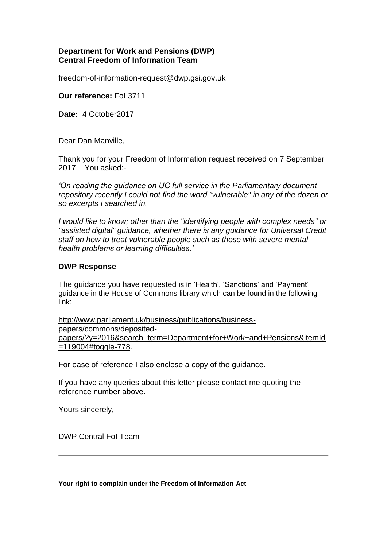## **Department for Work and Pensions (DWP) Central Freedom of Information Team**

freedom-of-information-request@dwp.gsi.gov.uk

**Our reference:** FoI 3711

**Date:** 4 October2017

Dear Dan Manville,

Thank you for your Freedom of Information request received on 7 September 2017. You asked:-

*'On reading the guidance on UC full service in the Parliamentary document repository recently I could not find the word "vulnerable" in any of the dozen or so excerpts I searched in.*

*I would like to know; other than the "identifying people with complex needs" or "assisted digital" guidance, whether there is any guidance for Universal Credit staff on how to treat vulnerable people such as those with severe mental health problems or learning difficulties.'*

## **DWP Response**

The guidance you have requested is in 'Health', 'Sanctions' and 'Payment' guidance in the House of Commons library which can be found in the following link:

[http://www.parliament.uk/business/publications/business](http://www.parliament.uk/business/publications/business-papers/commons/deposited-papers/?y=2016&search_term=Department+for+Work+and+Pensions&itemId=119004#toggle-778)[papers/commons/deposited](http://www.parliament.uk/business/publications/business-papers/commons/deposited-papers/?y=2016&search_term=Department+for+Work+and+Pensions&itemId=119004#toggle-778)[papers/?y=2016&search\\_term=Department+for+Work+and+Pensions&itemId](http://www.parliament.uk/business/publications/business-papers/commons/deposited-papers/?y=2016&search_term=Department+for+Work+and+Pensions&itemId=119004#toggle-778) [=119004#toggle-778.](http://www.parliament.uk/business/publications/business-papers/commons/deposited-papers/?y=2016&search_term=Department+for+Work+and+Pensions&itemId=119004#toggle-778)

For ease of reference I also enclose a copy of the guidance.

If you have any queries about this letter please contact me quoting the reference number above.

Yours sincerely,

DWP Central FoI Team

**Your right to complain under the Freedom of Information Act**